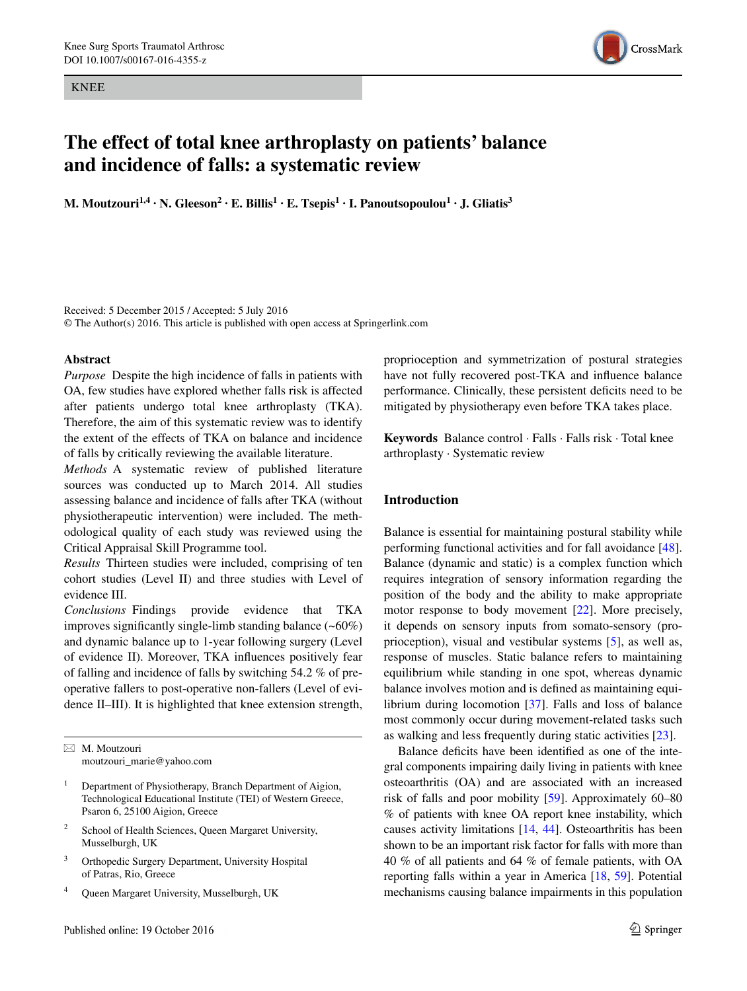KNEE



# **The effect of total knee arthroplasty on patients' balance and incidence of falls: a systematic review**

**M. Moutzouri**<sup>1,4</sup> **· N. Gleeson<sup>2</sup> · E. Billis**<sup>1</sup> · **E. Tsepis**<sup>1</sup> · **I. Panoutsopoulou<sup>1</sup> · <b>J.** Gliatis<sup>3</sup>

Received: 5 December 2015 / Accepted: 5 July 2016 © The Author(s) 2016. This article is published with open access at Springerlink.com

## **Abstract**

*Purpose* Despite the high incidence of falls in patients with OA, few studies have explored whether falls risk is affected after patients undergo total knee arthroplasty (TKA). Therefore, the aim of this systematic review was to identify the extent of the effects of TKA on balance and incidence of falls by critically reviewing the available literature.

*Methods* A systematic review of published literature sources was conducted up to March 2014. All studies assessing balance and incidence of falls after TKA (without physiotherapeutic intervention) were included. The methodological quality of each study was reviewed using the Critical Appraisal Skill Programme tool.

*Results* Thirteen studies were included, comprising of ten cohort studies (Level II) and three studies with Level of evidence III.

*Conclusions* Findings provide evidence that TKA improves significantly single-limb standing balance (~60%) and dynamic balance up to 1-year following surgery (Level of evidence II). Moreover, TKA influences positively fear of falling and incidence of falls by switching 54.2 % of preoperative fallers to post-operative non-fallers (Level of evidence II–III). It is highlighted that knee extension strength,

 $\boxtimes$  M. Moutzouri moutzouri\_marie@yahoo.com

- <sup>1</sup> Department of Physiotherapy, Branch Department of Aigion, Technological Educational Institute (TEI) of Western Greece, Psaron 6, 25100 Aigion, Greece
- <sup>2</sup> School of Health Sciences, Queen Margaret University, Musselburgh, UK
- <sup>3</sup> Orthopedic Surgery Department, University Hospital of Patras, Rio, Greece
- <sup>4</sup> Queen Margaret University, Musselburgh, UK

proprioception and symmetrization of postural strategies have not fully recovered post-TKA and influence balance performance. Clinically, these persistent deficits need to be mitigated by physiotherapy even before TKA takes place.

**Keywords** Balance control · Falls · Falls risk · Total knee arthroplasty · Systematic review

# **Introduction**

Balance is essential for maintaining postural stability while performing functional activities and for fall avoidance [\[48](#page-11-0)]. Balance (dynamic and static) is a complex function which requires integration of sensory information regarding the position of the body and the ability to make appropriate motor response to body movement [\[22](#page-10-0)]. More precisely, it depends on sensory inputs from somato-sensory (proprioception), visual and vestibular systems [[5\]](#page-10-1), as well as, response of muscles. Static balance refers to maintaining equilibrium while standing in one spot, whereas dynamic balance involves motion and is defined as maintaining equilibrium during locomotion [[37\]](#page-11-1). Falls and loss of balance most commonly occur during movement-related tasks such as walking and less frequently during static activities [[23\]](#page-10-2).

Balance deficits have been identified as one of the integral components impairing daily living in patients with knee osteoarthritis (OA) and are associated with an increased risk of falls and poor mobility [\[59](#page-11-2)]. Approximately 60–80 % of patients with knee OA report knee instability, which causes activity limitations [\[14,](#page-10-3) [44\]](#page-11-3). Osteoarthritis has been shown to be an important risk factor for falls with more than 40 % of all patients and 64 % of female patients, with OA reporting falls within a year in America [\[18](#page-10-4), [59\]](#page-11-2). Potential mechanisms causing balance impairments in this population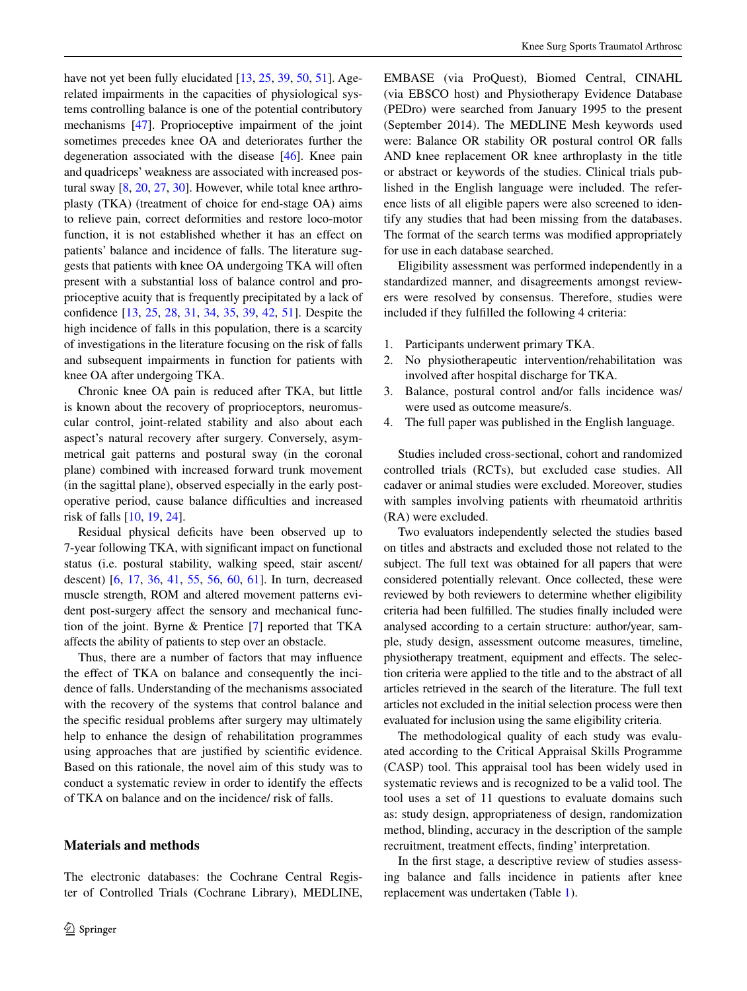have not yet been fully elucidated [\[13](#page-10-5), [25](#page-11-4), [39](#page-11-5), [50](#page-11-6), [51](#page-11-7)]. Agerelated impairments in the capacities of physiological systems controlling balance is one of the potential contributory mechanisms [\[47\]](#page-11-8). Proprioceptive impairment of the joint sometimes precedes knee OA and deteriorates further the degeneration associated with the disease [[46](#page-11-9)]. Knee pain and quadriceps' weakness are associated with increased postural sway [[8,](#page-10-6) [20,](#page-10-7) [27,](#page-11-10) [30\]](#page-11-11). However, while total knee arthroplasty (TKA) (treatment of choice for end-stage OA) aims to relieve pain, correct deformities and restore loco-motor function, it is not established whether it has an effect on patients' balance and incidence of falls. The literature suggests that patients with knee OA undergoing TKA will often present with a substantial loss of balance control and proprioceptive acuity that is frequently precipitated by a lack of confidence [\[13](#page-10-5), [25,](#page-11-4) [28](#page-11-12), [31,](#page-11-13) [34](#page-11-14), [35](#page-11-15), [39,](#page-11-5) [42](#page-11-16), [51\]](#page-11-7). Despite the high incidence of falls in this population, there is a scarcity of investigations in the literature focusing on the risk of falls and subsequent impairments in function for patients with knee OA after undergoing TKA.

Chronic knee OA pain is reduced after TKA, but little is known about the recovery of proprioceptors, neuromuscular control, joint-related stability and also about each aspect's natural recovery after surgery. Conversely, asymmetrical gait patterns and postural sway (in the coronal plane) combined with increased forward trunk movement (in the sagittal plane), observed especially in the early postoperative period, cause balance difficulties and increased risk of falls [\[10](#page-10-8), [19](#page-10-9), [24](#page-11-17)].

Residual physical deficits have been observed up to 7-year following TKA, with significant impact on functional status (i.e. postural stability, walking speed, stair ascent/ descent) [[6,](#page-10-10) [17,](#page-10-11) [36,](#page-11-18) [41](#page-11-19), [55](#page-11-20), [56](#page-11-21), [60](#page-12-0), [61](#page-12-1)]. In turn, decreased muscle strength, ROM and altered movement patterns evident post-surgery affect the sensory and mechanical function of the joint. Byrne & Prentice [\[7](#page-10-12)] reported that TKA affects the ability of patients to step over an obstacle.

Thus, there are a number of factors that may influence the effect of TKA on balance and consequently the incidence of falls. Understanding of the mechanisms associated with the recovery of the systems that control balance and the specific residual problems after surgery may ultimately help to enhance the design of rehabilitation programmes using approaches that are justified by scientific evidence. Based on this rationale, the novel aim of this study was to conduct a systematic review in order to identify the effects of TKA on balance and on the incidence/ risk of falls.

# **Materials and methods**

The electronic databases: the Cochrane Central Register of Controlled Trials (Cochrane Library), MEDLINE,

EMBASE (via ProQuest), Biomed Central, CINAHL (via EBSCO host) and Physiotherapy Evidence Database (PEDro) were searched from January 1995 to the present (September 2014). The MEDLINE Mesh keywords used were: Balance OR stability OR postural control OR falls AND knee replacement OR knee arthroplasty in the title or abstract or keywords of the studies. Clinical trials published in the English language were included. The reference lists of all eligible papers were also screened to identify any studies that had been missing from the databases. The format of the search terms was modified appropriately for use in each database searched.

Eligibility assessment was performed independently in a standardized manner, and disagreements amongst reviewers were resolved by consensus. Therefore, studies were included if they fulfilled the following 4 criteria:

- 1. Participants underwent primary TKA.
- 2. No physiotherapeutic intervention/rehabilitation was involved after hospital discharge for TKA.
- 3. Balance, postural control and/or falls incidence was/ were used as outcome measure/s.
- 4. The full paper was published in the English language.

Studies included cross-sectional, cohort and randomized controlled trials (RCTs), but excluded case studies. All cadaver or animal studies were excluded. Moreover, studies with samples involving patients with rheumatoid arthritis (RA) were excluded.

Two evaluators independently selected the studies based on titles and abstracts and excluded those not related to the subject. The full text was obtained for all papers that were considered potentially relevant. Once collected, these were reviewed by both reviewers to determine whether eligibility criteria had been fulfilled. The studies finally included were analysed according to a certain structure: author/year, sample, study design, assessment outcome measures, timeline, physiotherapy treatment, equipment and effects. The selection criteria were applied to the title and to the abstract of all articles retrieved in the search of the literature. The full text articles not excluded in the initial selection process were then evaluated for inclusion using the same eligibility criteria.

The methodological quality of each study was evaluated according to the Critical Appraisal Skills Programme (CASP) tool. This appraisal tool has been widely used in systematic reviews and is recognized to be a valid tool. The tool uses a set of 11 questions to evaluate domains such as: study design, appropriateness of design, randomization method, blinding, accuracy in the description of the sample recruitment, treatment effects, finding' interpretation.

In the first stage, a descriptive review of studies assessing balance and falls incidence in patients after knee replacement was undertaken (Table [1](#page-3-0)).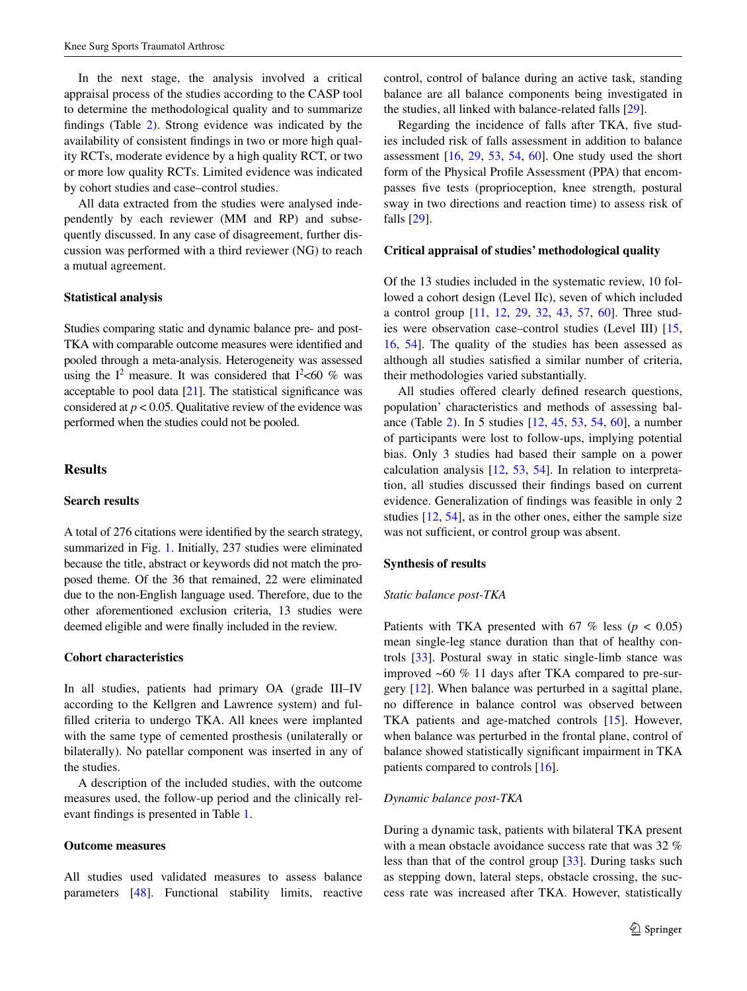In the next stage, the analysis involved a critical appraisal process of the studies according to the CASP tool to determine the methodological quality and to summarize findings (Table [2\)](#page-6-0). Strong evidence was indicated by the availability of consistent findings in two or more high quality RCTs, moderate evidence by a high quality RCT, or two or more low quality RCTs. Limited evidence was indicated by cohort studies and case–control studies.

All data extracted from the studies were analysed independently by each reviewer (MM and RP) and subsequently discussed. In any case of disagreement, further discussion was performed with a third reviewer (NG) to reach a mutual agreement.

#### **Statistical analysis**

Studies comparing static and dynamic balance pre- and post-TKA with comparable outcome measures were identified and pooled through a meta-analysis. Heterogeneity was assessed using the  $I^2$  measure. It was considered that  $I^2$  <60 % was acceptable to pool data  $[21]$  $[21]$  $[21]$ . The statistical significance was considered at  $p < 0.05$ . Qualitative review of the evidence was performed when the studies could not be pooled.

## **Results**

## **Search results**

A total of 276 citations were identified by the search strategy, summarized in Fig. [1](#page-8-0). Initially, 237 studies were eliminated because the title, abstract or keywords did not match the proposed theme. Of the 36 that remained, 22 were eliminated due to the non-English language used. Therefore, due to the other aforementioned exclusion criteria, 13 studies were deemed eligible and were finally included in the review.

# **Cohort characteristics**

In all studies, patients had primary OA (grade III–IV according to the Kellgren and Lawrence system) and fulfilled criteria to undergo TKA. All knees were implanted with the same type of cemented prosthesis (unilaterally or bilaterally). No patellar component was inserted in any of the studies.

A description of the included studies, with the outcome measures used, the follow-up period and the clinically relevant findings is presented in Table [1.](#page-3-0)

# **Outcome measures**

All studies used validated measures to assess balance parameters [[48\]](#page-11-0). Functional stability limits, reactive

control, control of balance during an active task, standing balance are all balance components being investigated in the studies, all linked with balance-related falls [\[29](#page-11-22)].

Regarding the incidence of falls after TKA, five studies included risk of falls assessment in addition to balance assessment  $[16, 29, 53, 54, 60]$  $[16, 29, 53, 54, 60]$  $[16, 29, 53, 54, 60]$  $[16, 29, 53, 54, 60]$  $[16, 29, 53, 54, 60]$  $[16, 29, 53, 54, 60]$  $[16, 29, 53, 54, 60]$  $[16, 29, 53, 54, 60]$  $[16, 29, 53, 54, 60]$ . One study used the short form of the Physical Profile Assessment (PPA) that encompasses five tests (proprioception, knee strength, postural sway in two directions and reaction time) to assess risk of falls [\[29](#page-11-22)].

## **Critical appraisal of studies' methodological quality**

Of the 13 studies included in the systematic review, 10 followed a cohort design (Level IIc), seven of which included a control group [[11,](#page-10-15) [12](#page-10-16), [29,](#page-11-22) [32](#page-11-25), [43](#page-11-26), [57,](#page-11-27) [60](#page-12-0)]. Three studies were observation case–control studies (Level III) [[15,](#page-10-17) [16](#page-10-14), [54](#page-11-24)]. The quality of the studies has been assessed as although all studies satisfied a similar number of criteria, their methodologies varied substantially.

All studies offered clearly defined research questions, population' characteristics and methods of assessing balance (Table [2](#page-6-0)). In 5 studies [\[12](#page-10-16), [45,](#page-11-28) [53,](#page-11-23) [54](#page-11-24), [60](#page-12-0)], a number of participants were lost to follow-ups, implying potential bias. Only 3 studies had based their sample on a power calculation analysis [[12,](#page-10-16) [53](#page-11-23), [54](#page-11-24)]. In relation to interpretation, all studies discussed their findings based on current evidence. Generalization of findings was feasible in only 2 studies [[12,](#page-10-16) [54](#page-11-24)], as in the other ones, either the sample size was not sufficient, or control group was absent.

#### **Synthesis of results**

## *Static balance post‑TKA*

Patients with TKA presented with  $67 \%$  less ( $p < 0.05$ ) mean single-leg stance duration than that of healthy controls [\[33](#page-11-29)]. Postural sway in static single-limb stance was improved ~60 % 11 days after TKA compared to pre-surgery [\[12](#page-10-16)]. When balance was perturbed in a sagittal plane, no difference in balance control was observed between TKA patients and age-matched controls [\[15](#page-10-17)]. However, when balance was perturbed in the frontal plane, control of balance showed statistically significant impairment in TKA patients compared to controls [[16\]](#page-10-14).

# *Dynamic balance post‑TKA*

During a dynamic task, patients with bilateral TKA present with a mean obstacle avoidance success rate that was 32 % less than that of the control group [[33\]](#page-11-29). During tasks such as stepping down, lateral steps, obstacle crossing, the success rate was increased after TKA. However, statistically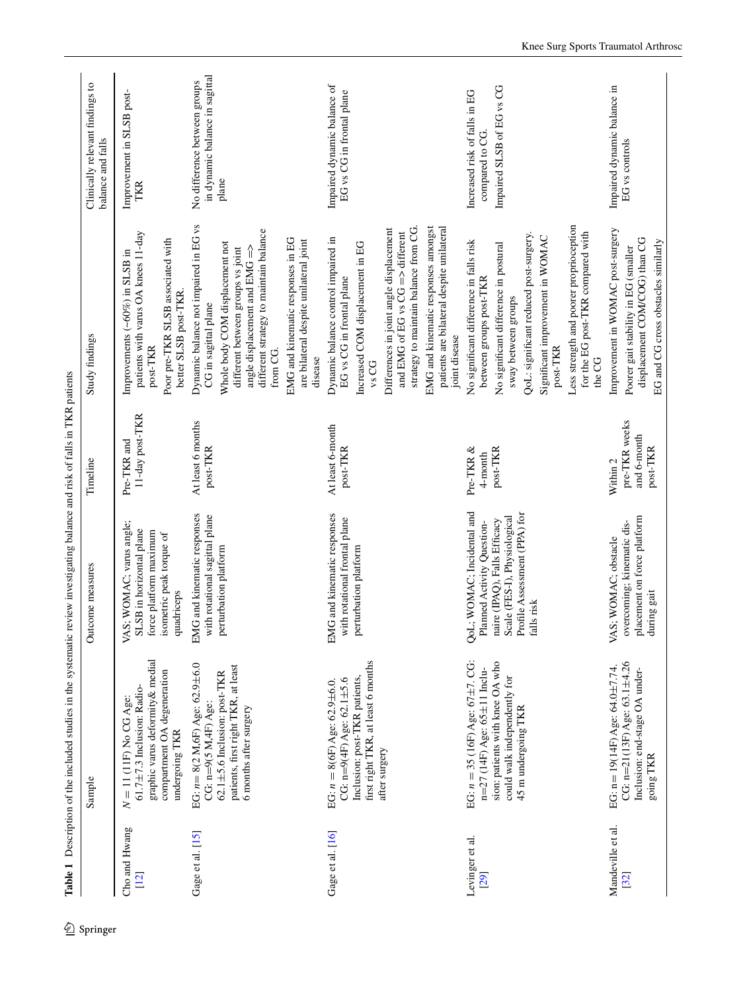|                           | $S$ ample                                                                                                                                                                              | Outcome measures                                                                                                                                                       | Timeline                                             | Study findings                                                                                                                                                                                                                                                                                                                                           | Clinically relevant findings to<br>balance and falls                          |
|---------------------------|----------------------------------------------------------------------------------------------------------------------------------------------------------------------------------------|------------------------------------------------------------------------------------------------------------------------------------------------------------------------|------------------------------------------------------|----------------------------------------------------------------------------------------------------------------------------------------------------------------------------------------------------------------------------------------------------------------------------------------------------------------------------------------------------------|-------------------------------------------------------------------------------|
| Cho and Hwang<br>[12]     | graphic varus deformity& medial<br>compartment OA degeneration<br>$61.7 \pm 7.3$ Inclusion: Radio-<br>$N = 11$ (11F) No CG Age:<br>undergoing TKR                                      | VAS; WOMAC; varus angle;<br>SLSB in horizontal plane<br>force platform maximum<br>isometric peak torque of<br>quadriceps                                               | 11-day post-TKR<br>Pre-TKR and                       | patients with varus OA knees 11-day<br>Poor pre-TKR SLSB associated with<br>Improvements (~60%) in SLSB in<br>better SLSB post-TKR<br>post-TKR                                                                                                                                                                                                           | Improvement in SLSB post-<br>TKR                                              |
| Gage et al. [15]          | EG: $n = 8(2 \text{ M}, 6\text{F})$ Age: $62.9 \pm 6.0$<br>patients, first right TKR, at least<br>$62.1 \pm 5.6$ Inclusion: post-TKR<br>CG: n=9(5 M,4F) Age:<br>6 months after surgery | EMG and kinematic responses<br>with rotational sagittal plane<br>perturbation platform                                                                                 | At least 6 months<br>post-TKR                        | Dynamic balance not impaired in EG vs<br>different strategy to maintain balance<br>EMG and kinematic responses in EG<br>are bilateral despite unilateral joint<br>Whole body COM displacement not<br>angle displacement and $EMG =$<br>different between groups vs joint<br>CG in sagittal plane<br>from CG.<br>disease                                  | in dynamic balance in sagittal<br>No difference between groups<br>plane       |
| Gage et al. [16]          | first right TKR, at least 6 months<br>Inclusion: post-TKR patients,<br>CG: $n=9(4F)$ Age: 62.1 $\pm$ 5.6<br>EG: $n = 8(6F)$ Age: 62.9±6.0.<br>after surgery                            | EMG and kinematic responses<br>with rotational frontal plane<br>perturbation platform                                                                                  | At least 6-month<br>post-TKR                         | EMG and kinematic responses amongst<br>patients are bilateral despite unilateral<br>strategy to maintain balance from CG.<br>Differences in joint angle displacement<br>and EMG of EG vs $CG \Rightarrow$ different<br>Dynamic balance control impaired in<br>Increased COM displacement in EG<br>EG vs CG in frontal plane<br>joint disease<br>$vs\,CG$ | Impaired dynamic balance of<br>EG vs CG in frontal plane                      |
| Levinger et al.<br>[29]   | EG: $n = 35$ (16F) Age: 67±7. CG:<br>sion: patients with knee OA who<br>$n=27$ (14F) Age: 65±11 Inclu-<br>could walk independently for<br>45 m undergoing TKR                          | QoL; WOMAC; Incidental and<br>naire (IPAQ), Falls Efficacy<br>Scale (FES-I), Physiological<br>Profile Assessment (PPA) for<br>falls risk<br>Planned Activity Question- | Pre-TKR &<br>post-TKR<br>4-month                     | Less strength and poorer proprioception<br>for the EG post-TKR compared with<br>QoL: significant reduced post-surgery.<br>Significant improvement in WOMAC<br>No significant difference in falls risk<br>No significant difference in postural<br>between groups post-TKR<br>sway between groups<br>post-TKR<br>the CG                                   | Impaired SLSB of EG vs CG<br>Increased risk of falls in EG<br>compared to CG. |
| Mandeville et al.<br>[32] | CG: $n=21(13F)$ Age: 63.1 $\pm$ 4.26<br>EG: n= 19(14F) Age: 64.0±7.74.<br>Inclusion: end-stage OA under-<br>$\operatorname{going}$ TKR                                                 | placement on force platform<br>during gait<br>overcoming; kinematic dis-<br>VAS; WOMAC; obstacle                                                                       | pre-TKR weeks<br>and 6-month<br>post-TKR<br>Within 2 | Improvement in WOMAC post-surgery<br>displacement COM/COG) than CG<br>EG and CG cross obstacles similarly<br>Poorer gait stability in EG (smaller                                                                                                                                                                                                        | Impaired dynamic balance in<br>EG vs controls                                 |

<span id="page-3-0"></span>Table 1 Description of the included studies in the systematic review investigating balance and risk of falls in TKR patients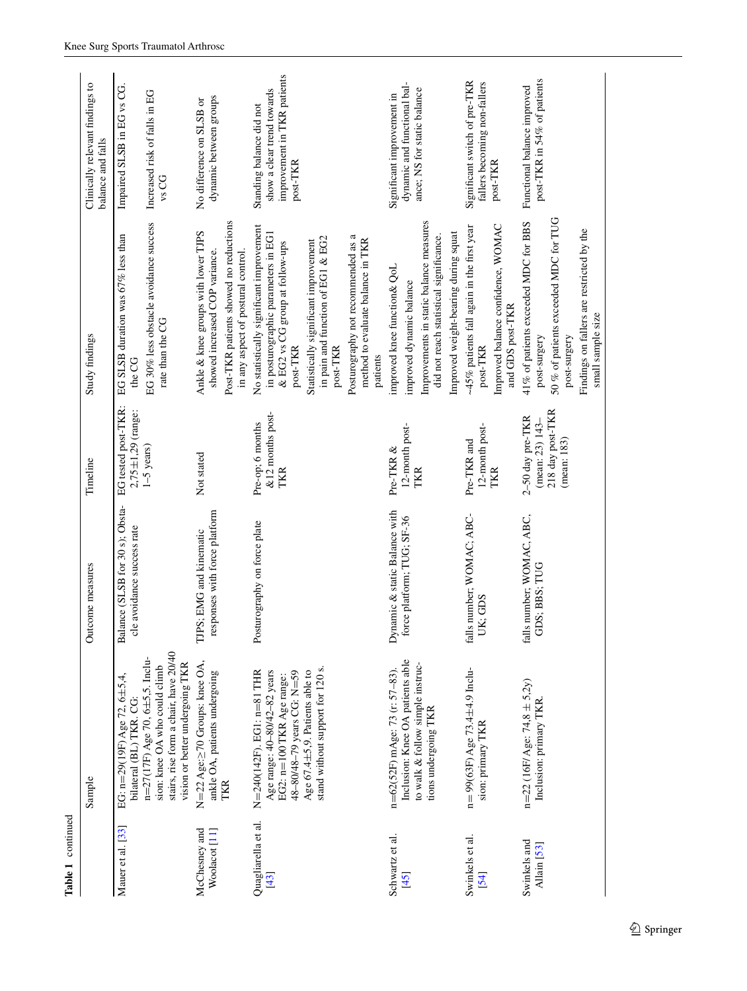| Table 1 continued                         |                                                                                                                                                                                                            |                                                               |                                                                        |                                                                                                                                                                                                                          |                                                                                                   |
|-------------------------------------------|------------------------------------------------------------------------------------------------------------------------------------------------------------------------------------------------------------|---------------------------------------------------------------|------------------------------------------------------------------------|--------------------------------------------------------------------------------------------------------------------------------------------------------------------------------------------------------------------------|---------------------------------------------------------------------------------------------------|
|                                           | Sample                                                                                                                                                                                                     | Outcome measures                                              | Timeline                                                               | Study findings                                                                                                                                                                                                           | Clinically relevant findings to<br>balance and falls                                              |
| Mauer et al. [33]                         | EG: n=29(19F) Age 72, 6±5,4,<br>bilateral (BL) TKR. CG:                                                                                                                                                    | Balance (SLSB for 30 s); Obsta-<br>cle avoidance success rate | EG tested post-TKR:<br>2,75±1,29 (range:                               | EG SLSB duration was 67% less than<br>the CG                                                                                                                                                                             | Impaired SLSB in EG vs CG.                                                                        |
|                                           | stairs, rise form a chair, have 20/40<br>$n=27(17F)$ Age 70, 6 $\pm$ 5,5. Inclu-<br>vision or better undergoing TKR<br>sion: knee OA who could climb                                                       |                                                               | $1-5$ years)                                                           | EG 30% less obstacle avoidance success<br>rate than the CG                                                                                                                                                               | Increased risk of falls in EG<br>vs CG                                                            |
| McChesney and<br>Woolacot <sup>[11]</sup> | N=22 Age:≥70 Groups: knee OA,<br>ankle OA, patients undergoing<br>TKR                                                                                                                                      | responses with force platform<br>TJPS; EMG and kinematic      | Not stated                                                             | Post-TKR patients showed no reductions<br>Ankle & knee groups with lower TJPS<br>showed increased COP variance.<br>in any aspect of postural control.                                                                    | dynamic between groups<br>No difference on SLSB or                                                |
| Quagliarella et al.<br>[43]               | stand without support for 120 s.<br>Age 67.4 $\pm$ 5,9. Patients able to<br>Age range: 40-80/42-82 years<br>48-80/48-79 years CG: N=59<br>$N = 240(142F)$ . EG1: $n = 81$ THR<br>EG2: n=100 TKR Age range: | Posturography on force plate                                  | &12 months post-<br>Pre-op; 6 months<br>TKR                            | No statistically significant improvement<br>in posturographic parameters in EG1<br>in pain and function of EG1 & EG2<br>Statistically significant improvement<br>& EG2 vs CG group at follow-ups<br>post-TKR<br>post-TKR | improvement in TKR patients<br>show a clear trend towards<br>Standing balance did not<br>post-TKR |
|                                           |                                                                                                                                                                                                            |                                                               |                                                                        | Posturography not recommended as a<br>method to evaluate balance in TKR<br>patients                                                                                                                                      |                                                                                                   |
| Schwartz et al.<br>[45]                   | Inclusion: Knee OA patients able<br>to walk & follow simple instruc-<br>n=62(52F) mAge: 73 (r: 57-83).<br>tions undergoing TKR                                                                             | Dynamic & static Balance with<br>force platform; TUG; SF-36   | 12-month post-<br>Pre-TKR &<br>TKR                                     | Improvements in static balance measures<br>Improved weight-bearing during squat<br>did not reach statistical significance.<br>improved knee function & QoL<br>improved dynamic balance                                   | dynamic and functional bal-<br>ance; NS for static balance<br>Significant improvement in          |
| Swinkels et al.<br>[54]                   | $n = 99(63F)$ Age 73.4 $\pm$ 4.9 Inclu-<br>sion: primary TKR                                                                                                                                               | falls number; WOMAC; ABC-<br>UK; GDS                          | 12-month post-<br>Pre-TKR and<br>TKR                                   | Improved balance confidence, WOMAC<br>~45% patients fall again in the first year<br>and GDS post-TKR<br>post-TKR                                                                                                         | Significant switch of pre-TKR<br>fallers becoming non-fallers<br>post-TKR                         |
| Swinkels and<br>Allain [53]               | $n=22$ (16F/ Age: 74,8 ± 5,2y)<br>Inclusion: primary TKR                                                                                                                                                   | falls number; WOMAC, ABC,<br>GDS; BBS; TUG                    | 218 day post-TKR<br>2-50 day pre-TKR<br>(mean: 23) 143-<br>(mean: 183) | 50 % of patients exceeded MDC for TUG<br>41% of patients exceeded MDC for BBS<br>Findings on fallers are restricted by the<br>small sample size<br>post-surgery<br>post-surgery                                          | post-TKR in 54% of patients<br>Functional balance improved                                        |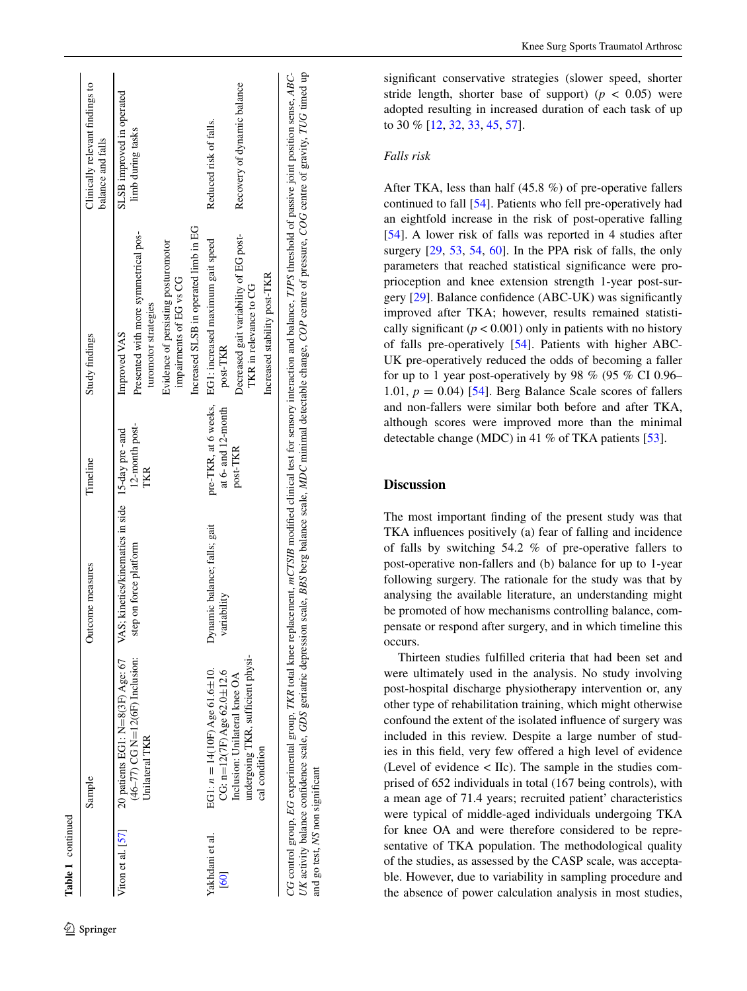|                         | Sample                                                                                                                                    | Outcome measures                            | Timeline              | Study findings                                                                                   | Clinically relevant findings to<br>balance and falls |
|-------------------------|-------------------------------------------------------------------------------------------------------------------------------------------|---------------------------------------------|-----------------------|--------------------------------------------------------------------------------------------------|------------------------------------------------------|
| Viton et al. $[57]$     | 20 patients EG1: N= $8(3F)$ Age: 67 VAS; kinetics/kinematics in side 15-day pre-and<br>$(46-77)$ CG N=12(6F) Inclusion:<br>Unilateral TKR | step on force platform                      | 12-month post-<br>TKR | Presented with more symmetrical pos-<br>turomotor strategies<br>Improved VAS                     | SLSB improved in operated<br>limb during tasks       |
|                         |                                                                                                                                           |                                             |                       | Evidence of persisting posturomotor<br>impairments of EG vs CG                                   |                                                      |
|                         |                                                                                                                                           |                                             |                       | Increased SLSB in operated limb in EG                                                            |                                                      |
| Yakhdani et al.<br>[60] | EG1: $n = 14(10)$ Age 61.6±10.<br>CG: $n=12(7F)$ Age 62.0 $\pm$ 12.6                                                                      | Dynamic balance; falls; gait<br>variability | at 6- and 12-month    | pre-TKR, at 6 weeks, EG1: increased maximum gait speed<br>post-TKR                               | Reduced risk of falls.                               |
|                         | undergoing TKR, sufficient physi-<br>Inclusion: Unilateral knee OA<br>cal condition                                                       |                                             | post-TKR              | Decreased gait variability of EG post-<br>Increased stability post-TKR<br>TKR in relevance to CG | Recovery of dynamic balance                          |

UK activity balance confidence scale, GDS geriatric depression scale, BBS berg balance scale, MDC minimal detectable change, COP centre of pressure, COG centre of gravity, TUG timed up Ξ CG control group, EG experimental group, TKR total knee replacement, mCTSIB modified clinical test for sensory interaction and balance, TJPS threshold of passive joint position sense, ABCthreshold of passive joint position sense, ABC-UK activity balance confidence scale, GDS geriatric depression scale, BBS berg balance scale, MDC minimal detectable change, COP centre of pressure, COG centre of gravity, TUG timed **UFS** balance. sensory interaction and i ē CG control group, EG experimental group, TKR total knee replacement, mCTSIB modified clinical test go test, NS non significant and go test, *NS* non significant $_{\rm nd}$ 

significant conservative strategies (slower speed, shorter stride length, shorter base of support)  $(p < 0.05)$  were adopted resulting in increased duration of each task of up to 30 % [\[12](#page-10-16), [32](#page-11-25), [33](#page-11-29), [45](#page-11-28), [57](#page-11-27)].

# *Falls risk*

After TKA, less than half (45.8 %) of pre-operative fallers continued to fall [[54\]](#page-11-24). Patients who fell pre-operatively had an eightfold increase in the risk of post-operative falling [\[54](#page-11-24)]. A lower risk of falls was reported in 4 studies after surgery [[29,](#page-11-22) [53,](#page-11-23) [54](#page-11-24), [60](#page-12-0)]. In the PPA risk of falls, the only parameters that reached statistical significance were pro prioception and knee extension strength 1-year post-sur gery [[29\]](#page-11-22). Balance confidence (ABC-UK) was significantly improved after TKA; however, results remained statisti cally significant  $(p < 0.001)$  only in patients with no history of falls pre-operatively [\[54](#page-11-24)]. Patients with higher ABC-UK pre-operatively reduced the odds of becoming a faller for up to 1 year post-operatively by 98 % (95 % CI 0.96– 1.01,  $p = 0.04$ ) [[54\]](#page-11-24). Berg Balance Scale scores of fallers and non-fallers were similar both before and after TKA, although scores were improved more than the minimal detectable change (MDC) in 41 % of TKA patients [\[53](#page-11-23)].

# **Discussion**

The most important finding of the present study was that TKA influences positively (a) fear of falling and incidence of falls by switching 54.2 % of pre-operative fallers to post-operative non-fallers and (b) balance for up to 1-year following surgery. The rationale for the study was that by analysing the available literature, an understanding might be promoted of how mechanisms controlling balance, compensate or respond after surgery, and in which timeline this occurs.

Thirteen studies fulfilled criteria that had been set and were ultimately used in the analysis. No study involving post-hospital discharge physiotherapy intervention or, any other type of rehabilitation training, which might otherwise confound the extent of the isolated influence of surgery was included in this review. Despite a large number of stud ies in this field, very few offered a high level of evidence (Level of evidence < IIc). The sample in the studies com prised of 652 individuals in total (167 being controls), with a mean age of 71.4 years; recruited patient' characteristics were typical of middle-aged individuals undergoing TKA for knee OA and were therefore considered to be representative of TKA population. The methodological quality of the studies, as assessed by the CASP scale, was accepta ble. However, due to variability in sampling procedure and the absence of power calculation analysis in most studies,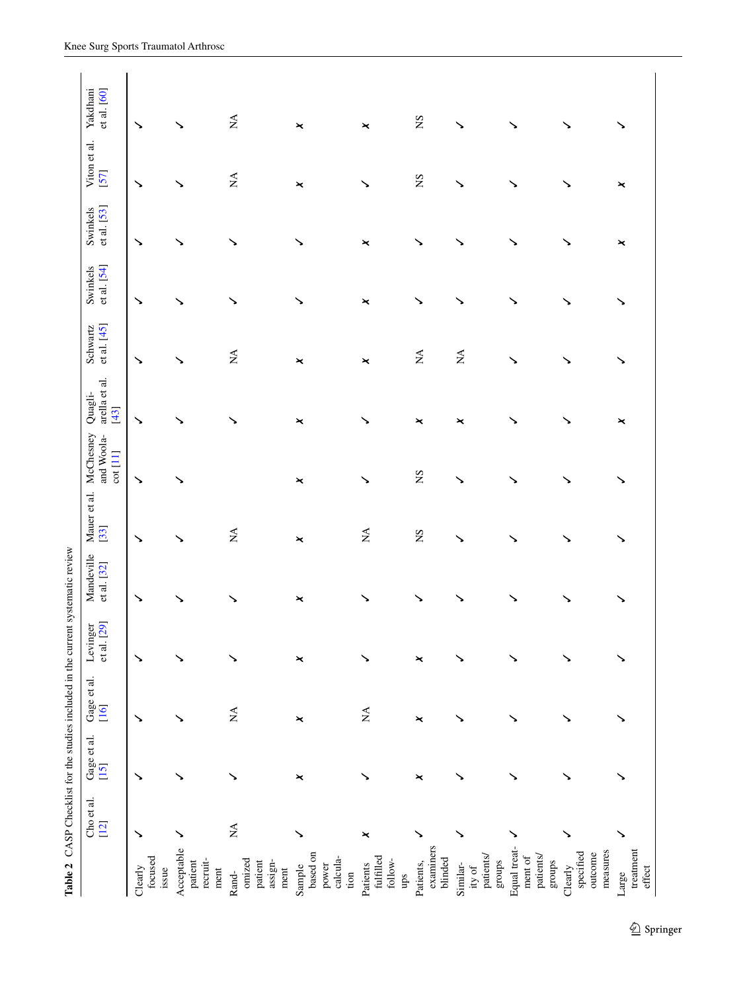<span id="page-6-0"></span>

|                                                                   | Cho et al.<br>$[12]$ | Gage et al.<br>[15] | Gage et al.<br>[16]            | Levinger<br>et al. [29] | Mandeville<br>et al. [32] | Mauer et al.<br>$[33]$         | McChesney<br>and Woola-<br>cot[11] | arella et al.<br>Quagli-<br>$[43]$ | et al. $[45]$<br>Schwartz      | Swinkels<br>et al. [54] | et al. [53]<br>Swinkels | Viton et al.<br>[57] | Yakdhani<br>et al. [60] |
|-------------------------------------------------------------------|----------------------|---------------------|--------------------------------|-------------------------|---------------------------|--------------------------------|------------------------------------|------------------------------------|--------------------------------|-------------------------|-------------------------|----------------------|-------------------------|
| focused<br>Clearly<br>issue                                       | ↘                    | ↘                   | ↘                              | ↘                       | ↘                         | ↘                              | ↘                                  | ↘                                  | ↘                              | ↘                       | ↘                       | ↘                    | ↘                       |
| Acceptable<br>recruit-<br>patient<br>$\mathop{\rm ment}\nolimits$ | ↘                    | ↘                   | ↘                              | ↘                       |                           |                                | ↘                                  | ↘                                  | ↘                              | ↘                       | ↘                       | ↘                    | ↘                       |
| omized<br>patient<br>assign-<br>ment<br>Rand-                     | $\lessapprox$        | ↘                   | $\stackrel{\triangle}{\simeq}$ | ↘                       |                           | $\stackrel{\triangle}{\simeq}$ |                                    |                                    | $\stackrel{\triangle}{\simeq}$ |                         | ↘                       | $\lessapprox$        | $\lessapprox$           |
| based on<br>calcula-<br>power<br>Sample<br>$\lim$                 | ↘                    | ×                   | ×                              | ×                       | ×                         | $\pmb{\times}$                 | $\pmb{\times}$                     | ×                                  | $\pmb{\times}$                 |                         | ↘                       | ×                    | $\pmb{\times}$          |
| fulfilled<br>follow-<br>Patients<br>$_{\rm app}$                  | ×                    | ↘                   | $\mathbb{X}^{\mathsf{A}}$      |                         | ↘                         | $\lessapprox$                  | ↘                                  |                                    | ×                              | ×                       | ×                       | ↘                    | ×                       |
| examiners<br>blinded<br>Patients,                                 | ↘                    | $\pmb{\times}$      | ×                              | ×                       | ヽ                         | SN                             | $S_{N}$                            | $\pmb{\times}$                     | $\lesssim$                     | $\checkmark$            | ↘                       | SN                   | $S_{\rm N}$             |
| patients/<br>groups<br>Similar-<br>ity of                         |                      | ↘                   | ↘                              |                         |                           |                                | ╲                                  | ×                                  | $\lessapprox$                  |                         | ゝ                       | ゝ                    |                         |
| Equal treat-<br>patients/<br>ment of<br>${\rm groups}$            | ↘                    | ↘                   | ↘                              | ↘                       |                           |                                |                                    | ↘                                  |                                |                         | ↘                       |                      | ↘                       |
| measures<br>specified<br>outcome<br>Clearly                       | ↘                    | ↘                   |                                |                         |                           |                                |                                    | ╲                                  |                                |                         | ↘                       |                      |                         |
| treatment<br>effect<br>Large                                      | ↘                    | ↘                   |                                |                         |                           |                                |                                    | ×                                  |                                |                         | $\pmb{\times}$          | ×                    |                         |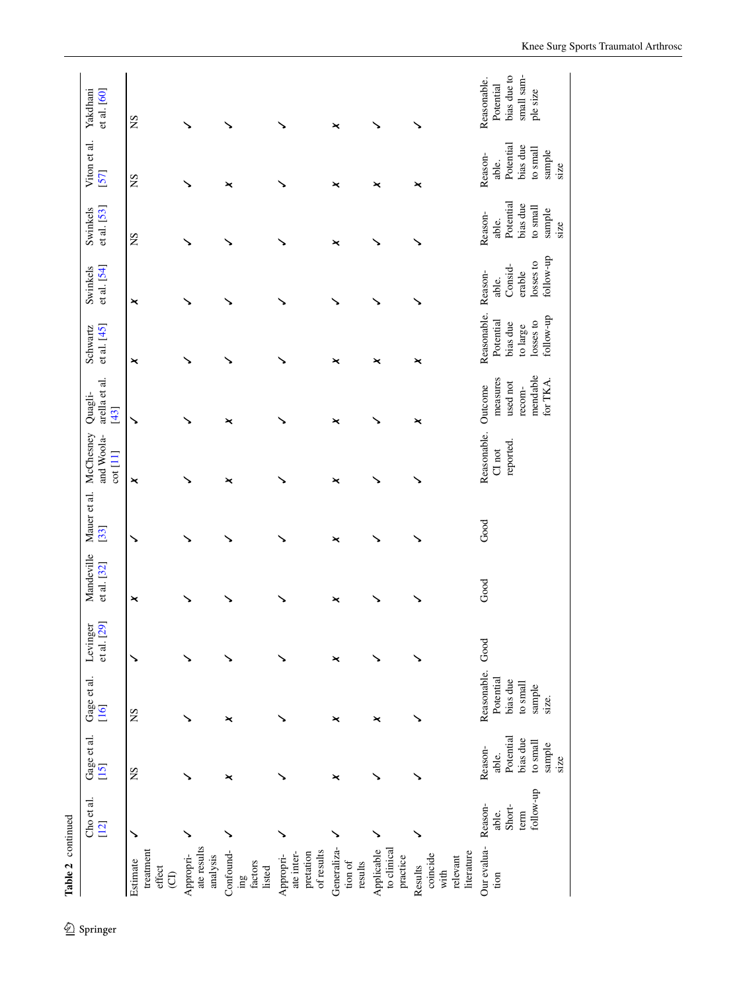|                                                       | Cho et al.<br>[12]                              | Gage et al.<br>[15]                                                          | Gage et al.<br>[16]                                                      | et al. [29]<br>Levinger | Mandeville<br>et al. $[32]$ | Mauer et al.<br>[33] | McChesney<br>and Woola-<br>cot[11] | arella et al.<br>Quagli-<br>$[43]$                                | Schwartz<br>et al. [45]                                                    | et al. [54]<br>Swinkels                                         | Swinkels<br>et al. [53]                                                 | Viton et al.<br>57                                                           | Yakdhani<br>et al. [60]                                           |
|-------------------------------------------------------|-------------------------------------------------|------------------------------------------------------------------------------|--------------------------------------------------------------------------|-------------------------|-----------------------------|----------------------|------------------------------------|-------------------------------------------------------------------|----------------------------------------------------------------------------|-----------------------------------------------------------------|-------------------------------------------------------------------------|------------------------------------------------------------------------------|-------------------------------------------------------------------|
| treatment<br>Estimate<br>effect<br>$\Theta$           | ↘                                               | SN                                                                           | $S_{N}$                                                                  | ↘                       | ×                           | ↘                    | ×                                  | ↘                                                                 | ×                                                                          | ×                                                               | SN                                                                      | SN                                                                           | SN                                                                |
| ate results<br>Appropri-<br>analysis                  | ↘                                               | ↘                                                                            | ↘                                                                        | ↘                       |                             |                      |                                    |                                                                   | ↘                                                                          | ↘                                                               |                                                                         |                                                                              |                                                                   |
| Confound-<br>factors<br>listed<br>ani.                | ↘                                               | ×                                                                            | ×                                                                        |                         |                             |                      | $\pmb{\times}$                     | ×                                                                 |                                                                            |                                                                 |                                                                         | ×                                                                            |                                                                   |
| of results<br>ate inter-<br>pretation<br>Appropri-    | ↘                                               |                                                                              | ↘                                                                        | ↘                       |                             |                      |                                    |                                                                   | ↘                                                                          |                                                                 |                                                                         |                                                                              |                                                                   |
| Generaliza-<br>tion of<br>results                     | ↘                                               | ×                                                                            | ×                                                                        | ×                       | ×                           | ×                    | ×                                  | ×                                                                 | ×                                                                          |                                                                 | ×                                                                       | ×                                                                            | ×                                                                 |
| to clinical<br>Applicable<br>practice                 |                                                 |                                                                              | ×                                                                        | ゝ                       |                             |                      |                                    | ↘                                                                 | ×                                                                          |                                                                 |                                                                         | $\pmb{\times}$                                                               |                                                                   |
| literature<br>coincide<br>relevant<br>Results<br>with |                                                 |                                                                              | ↘                                                                        |                         |                             |                      |                                    | ×                                                                 | ×                                                                          |                                                                 |                                                                         | ×                                                                            |                                                                   |
| Our evalua-<br>tion                                   | follow-up<br>Reason-<br>Short-<br>able.<br>term | Potential<br>bias due<br>$\,$ to small<br>sample<br>Reason-<br>able.<br>size | Reasonable.<br>Potential<br>bias due<br>$\,$ to small<br>sample<br>size. | Good                    | Good                        | Good                 | Reasonable.<br>reported.<br>C1 not | mendable<br>measures<br>for TKA.<br>used not<br>Outcome<br>recom- | Reasonable.<br>follow-up<br>Potential<br>losses to<br>bias due<br>to large | follow-up<br>losses to<br>Consid-<br>erable<br>Reason-<br>able. | Potential<br>bias due<br>to small<br>sample<br>Reason-<br>able.<br>size | Potential<br>bias due<br>$\,$ to small<br>sample<br>Reason-<br>able.<br>size | bias due to<br>small sam-<br>Reasonable.<br>Potential<br>ple size |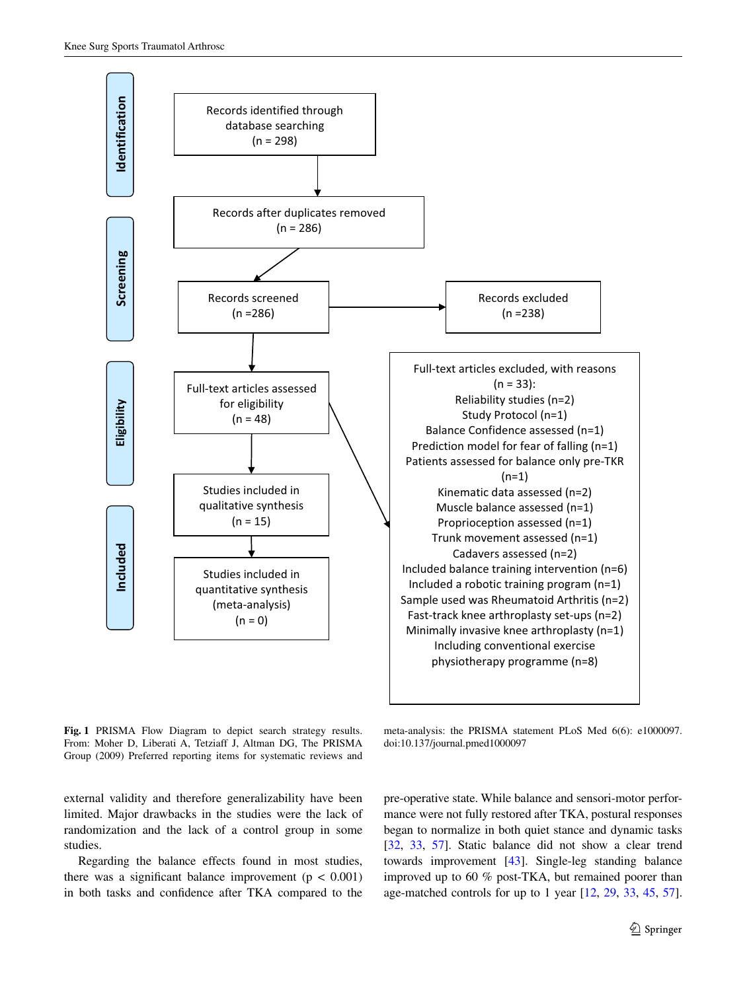

<span id="page-8-0"></span>**Fig. 1** PRISMA Flow Diagram to depict search strategy results. From: Moher D, Liberati A, Tetziaff J, Altman DG, The PRISMA Group (2009) Preferred reporting items for systematic reviews and

meta-analysis: the PRISMA statement PLoS Med 6(6): e1000097. doi:10.137/journal.pmed1000097

external validity and therefore generalizability have been limited. Major drawbacks in the studies were the lack of randomization and the lack of a control group in some studies.

Regarding the balance effects found in most studies, there was a significant balance improvement ( $p < 0.001$ ) in both tasks and confidence after TKA compared to the pre-operative state. While balance and sensori-motor performance were not fully restored after TKA, postural responses began to normalize in both quiet stance and dynamic tasks [\[32](#page-11-25), [33,](#page-11-29) [57](#page-11-27)]. Static balance did not show a clear trend towards improvement [\[43](#page-11-26)]. Single-leg standing balance improved up to 60 % post-TKA, but remained poorer than age-matched controls for up to 1 year [[12,](#page-10-16) [29,](#page-11-22) [33](#page-11-29), [45,](#page-11-28) [57](#page-11-27)].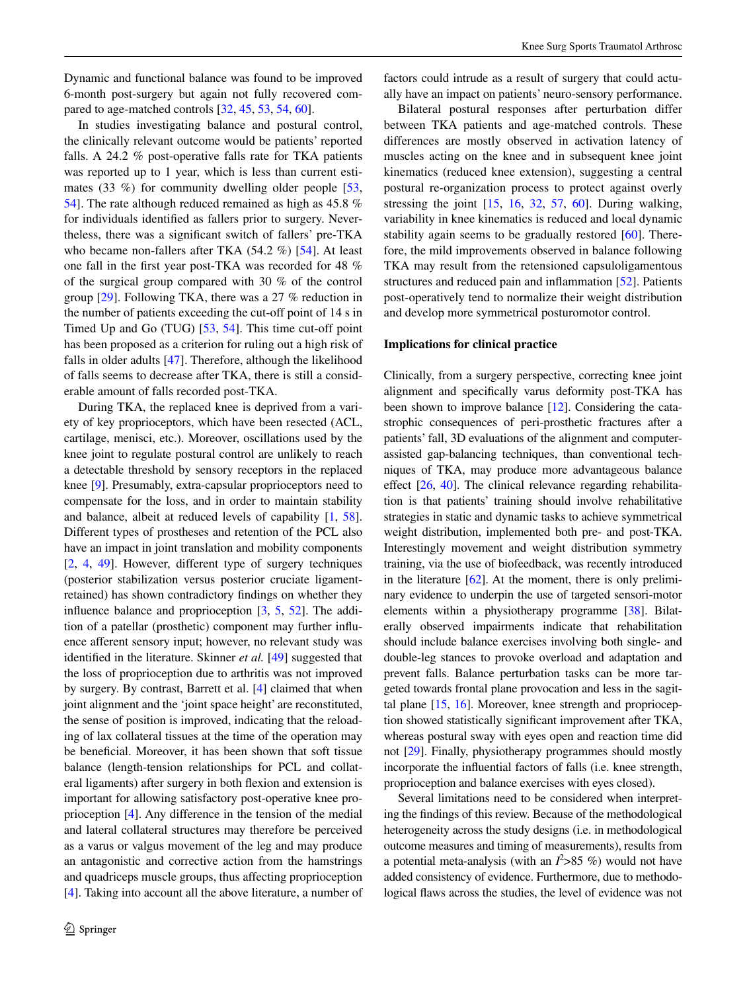Dynamic and functional balance was found to be improved 6-month post-surgery but again not fully recovered compared to age-matched controls [\[32](#page-11-25), [45,](#page-11-28) [53,](#page-11-23) [54](#page-11-24), [60](#page-12-0)].

In studies investigating balance and postural control, the clinically relevant outcome would be patients' reported falls. A 24.2 % post-operative falls rate for TKA patients was reported up to 1 year, which is less than current estimates  $(33 \%)$  for community dwelling older people  $[53, 6]$  $[53, 6]$  $[53, 6]$ [54](#page-11-24)]. The rate although reduced remained as high as 45.8 % for individuals identified as fallers prior to surgery. Nevertheless, there was a significant switch of fallers' pre-TKA who became non-fallers after TKA (54.2 %) [\[54](#page-11-24)]. At least one fall in the first year post-TKA was recorded for 48 % of the surgical group compared with 30 % of the control group [[29\]](#page-11-22). Following TKA, there was a 27 % reduction in the number of patients exceeding the cut-off point of 14 s in Timed Up and Go (TUG) [\[53](#page-11-23), [54\]](#page-11-24). This time cut-off point has been proposed as a criterion for ruling out a high risk of falls in older adults [[47\]](#page-11-8). Therefore, although the likelihood of falls seems to decrease after TKA, there is still a considerable amount of falls recorded post-TKA.

During TKA, the replaced knee is deprived from a variety of key proprioceptors, which have been resected (ACL, cartilage, menisci, etc.). Moreover, oscillations used by the knee joint to regulate postural control are unlikely to reach a detectable threshold by sensory receptors in the replaced knee [[9\]](#page-10-18). Presumably, extra-capsular proprioceptors need to compensate for the loss, and in order to maintain stability and balance, albeit at reduced levels of capability [\[1](#page-10-19), [58](#page-11-30)]. Different types of prostheses and retention of the PCL also have an impact in joint translation and mobility components [\[2](#page-10-20), [4](#page-10-21), [49\]](#page-11-31). However, different type of surgery techniques (posterior stabilization versus posterior cruciate ligamentretained) has shown contradictory findings on whether they influence balance and proprioception [\[3](#page-10-22), [5](#page-10-1), [52](#page-11-32)]. The addition of a patellar (prosthetic) component may further influence afferent sensory input; however, no relevant study was identified in the literature. Skinner *et al.* [[49\]](#page-11-31) suggested that the loss of proprioception due to arthritis was not improved by surgery. By contrast, Barrett et al. [[4\]](#page-10-21) claimed that when joint alignment and the 'joint space height' are reconstituted, the sense of position is improved, indicating that the reloading of lax collateral tissues at the time of the operation may be beneficial. Moreover, it has been shown that soft tissue balance (length-tension relationships for PCL and collateral ligaments) after surgery in both flexion and extension is important for allowing satisfactory post-operative knee proprioception [\[4](#page-10-21)]. Any difference in the tension of the medial and lateral collateral structures may therefore be perceived as a varus or valgus movement of the leg and may produce an antagonistic and corrective action from the hamstrings and quadriceps muscle groups, thus affecting proprioception [\[4](#page-10-21)]. Taking into account all the above literature, a number of factors could intrude as a result of surgery that could actually have an impact on patients' neuro-sensory performance.

Bilateral postural responses after perturbation differ between TKA patients and age-matched controls. These differences are mostly observed in activation latency of muscles acting on the knee and in subsequent knee joint kinematics (reduced knee extension), suggesting a central postural re-organization process to protect against overly stressing the joint [[15,](#page-10-17) [16,](#page-10-14) [32](#page-11-25), [57](#page-11-27), [60](#page-12-0)]. During walking, variability in knee kinematics is reduced and local dynamic stability again seems to be gradually restored [[60\]](#page-12-0). Therefore, the mild improvements observed in balance following TKA may result from the retensioned capsuloligamentous structures and reduced pain and inflammation [\[52](#page-11-32)]. Patients post-operatively tend to normalize their weight distribution and develop more symmetrical posturomotor control.

# **Implications for clinical practice**

Clinically, from a surgery perspective, correcting knee joint alignment and specifically varus deformity post-TKA has been shown to improve balance [[12\]](#page-10-16). Considering the catastrophic consequences of peri-prosthetic fractures after a patients' fall, 3D evaluations of the alignment and computerassisted gap-balancing techniques, than conventional techniques of TKA, may produce more advantageous balance effect [\[26,](#page-11-33) [40](#page-11-34)]. The clinical relevance regarding rehabilitation is that patients' training should involve rehabilitative strategies in static and dynamic tasks to achieve symmetrical weight distribution, implemented both pre- and post-TKA. Interestingly movement and weight distribution symmetry training, via the use of biofeedback, was recently introduced in the literature  $[62]$  $[62]$ . At the moment, there is only preliminary evidence to underpin the use of targeted sensori-motor elements within a physiotherapy programme [\[38\]](#page-11-35). Bilaterally observed impairments indicate that rehabilitation should include balance exercises involving both single- and double-leg stances to provoke overload and adaptation and prevent falls. Balance perturbation tasks can be more targeted towards frontal plane provocation and less in the sagittal plane [[15,](#page-10-17) [16](#page-10-14)]. Moreover, knee strength and proprioception showed statistically significant improvement after TKA, whereas postural sway with eyes open and reaction time did not [\[29](#page-11-22)]. Finally, physiotherapy programmes should mostly incorporate the influential factors of falls (i.e. knee strength, proprioception and balance exercises with eyes closed).

Several limitations need to be considered when interpreting the findings of this review. Because of the methodological heterogeneity across the study designs (i.e. in methodological outcome measures and timing of measurements), results from a potential meta-analysis (with an  $l^2 > 85 \%$ ) would not have added consistency of evidence. Furthermore, due to methodological flaws across the studies, the level of evidence was not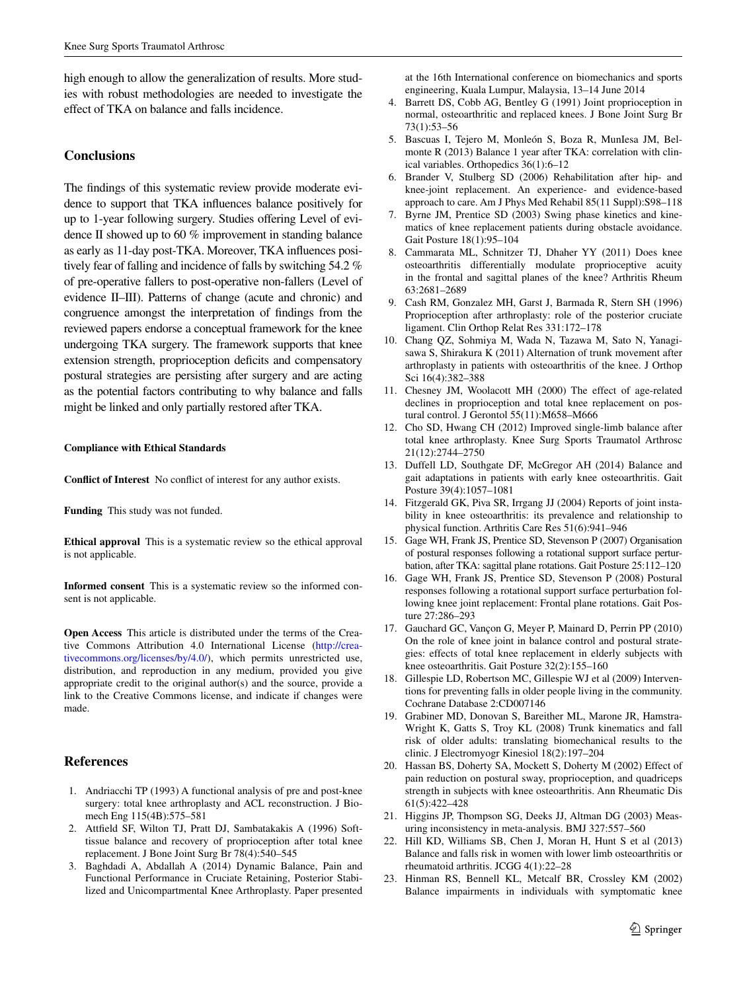high enough to allow the generalization of results. More studies with robust methodologies are needed to investigate the effect of TKA on balance and falls incidence.

# **Conclusions**

The findings of this systematic review provide moderate evidence to support that TKA influences balance positively for up to 1-year following surgery. Studies offering Level of evidence II showed up to 60 % improvement in standing balance as early as 11-day post-TKA. Moreover, TKA influences positively fear of falling and incidence of falls by switching 54.2 % of pre-operative fallers to post-operative non-fallers (Level of evidence II–III). Patterns of change (acute and chronic) and congruence amongst the interpretation of findings from the reviewed papers endorse a conceptual framework for the knee undergoing TKA surgery. The framework supports that knee extension strength, proprioception deficits and compensatory postural strategies are persisting after surgery and are acting as the potential factors contributing to why balance and falls might be linked and only partially restored after TKA.

#### **Compliance with Ethical Standards**

**Conflict of Interest** No conflict of interest for any author exists.

**Funding** This study was not funded.

**Ethical approval** This is a systematic review so the ethical approval is not applicable.

**Informed consent** This is a systematic review so the informed consent is not applicable.

**Open Access** This article is distributed under the terms of the Creative Commons Attribution 4.0 International License ([http://crea](http://creativecommons.org/licenses/by/4.0/)[tivecommons.org/licenses/by/4.0/](http://creativecommons.org/licenses/by/4.0/)), which permits unrestricted use, distribution, and reproduction in any medium, provided you give appropriate credit to the original author(s) and the source, provide a link to the Creative Commons license, and indicate if changes were made.

## **References**

- <span id="page-10-19"></span>1. Andriacchi TP (1993) A functional analysis of pre and post-knee surgery: total knee arthroplasty and ACL reconstruction. J Biomech Eng 115(4B):575–581
- <span id="page-10-20"></span>2. Attfield SF, Wilton TJ, Pratt DJ, Sambatakakis A (1996) Softtissue balance and recovery of proprioception after total knee replacement. J Bone Joint Surg Br 78(4):540–545
- <span id="page-10-22"></span>3. Baghdadi A, Abdallah A (2014) Dynamic Balance, Pain and Functional Performance in Cruciate Retaining, Posterior Stabilized and Unicompartmental Knee Arthroplasty. Paper presented

at the 16th International conference on biomechanics and sports engineering, Kuala Lumpur, Malaysia, 13–14 June 2014

- <span id="page-10-21"></span>4. Barrett DS, Cobb AG, Bentley G (1991) Joint proprioception in normal, osteoarthritic and replaced knees. J Bone Joint Surg Br 73(1):53–56
- <span id="page-10-1"></span>5. Bascuas I, Tejero M, Monleón S, Boza R, MunIesa JM, Belmonte R (2013) Balance 1 year after TKA: correlation with clinical variables. Orthopedics 36(1):6–12
- <span id="page-10-10"></span>6. Brander V, Stulberg SD (2006) Rehabilitation after hip- and knee-joint replacement. An experience- and evidence-based approach to care. Am J Phys Med Rehabil 85(11 Suppl):S98–118
- <span id="page-10-12"></span>7. Byrne JM, Prentice SD (2003) Swing phase kinetics and kinematics of knee replacement patients during obstacle avoidance. Gait Posture 18(1):95–104
- <span id="page-10-6"></span>8. Cammarata ML, Schnitzer TJ, Dhaher YY (2011) Does knee osteoarthritis differentially modulate proprioceptive acuity in the frontal and sagittal planes of the knee? Arthritis Rheum 63:2681–2689
- <span id="page-10-18"></span>9. Cash RM, Gonzalez MH, Garst J, Barmada R, Stern SH (1996) Proprioception after arthroplasty: role of the posterior cruciate ligament. Clin Orthop Relat Res 331:172–178
- <span id="page-10-8"></span>10. Chang QZ, Sohmiya M, Wada N, Tazawa M, Sato N, Yanagisawa S, Shirakura K (2011) Alternation of trunk movement after arthroplasty in patients with osteoarthritis of the knee. J Orthop Sci 16(4):382–388
- <span id="page-10-15"></span>11. Chesney JM, Woolacott MH (2000) The effect of age-related declines in proprioception and total knee replacement on postural control. J Gerontol 55(11):M658–M666
- <span id="page-10-16"></span>12. Cho SD, Hwang CH (2012) Improved single-limb balance after total knee arthroplasty. Knee Surg Sports Traumatol Arthrosc 21(12):2744–2750
- <span id="page-10-5"></span>13. Duffell LD, Southgate DF, McGregor AH (2014) Balance and gait adaptations in patients with early knee osteoarthritis. Gait Posture 39(4):1057–1081
- <span id="page-10-3"></span>14. Fitzgerald GK, Piva SR, Irrgang JJ (2004) Reports of joint instability in knee osteoarthritis: its prevalence and relationship to physical function. Arthritis Care Res 51(6):941–946
- <span id="page-10-17"></span>15. Gage WH, Frank JS, Prentice SD, Stevenson P (2007) Organisation of postural responses following a rotational support surface perturbation, after TKA: sagittal plane rotations. Gait Posture 25:112–120
- <span id="page-10-14"></span>16. Gage WH, Frank JS, Prentice SD, Stevenson P (2008) Postural responses following a rotational support surface perturbation following knee joint replacement: Frontal plane rotations. Gait Posture 27:286–293
- <span id="page-10-11"></span>17. Gauchard GC, Vançon G, Meyer P, Mainard D, Perrin PP (2010) On the role of knee joint in balance control and postural strategies: effects of total knee replacement in elderly subjects with knee osteoarthritis. Gait Posture 32(2):155–160
- <span id="page-10-4"></span>18. Gillespie LD, Robertson MC, Gillespie WJ et al (2009) Interventions for preventing falls in older people living in the community. Cochrane Database 2:CD007146
- <span id="page-10-9"></span>19. Grabiner MD, Donovan S, Bareither ML, Marone JR, Hamstra-Wright K, Gatts S, Troy KL (2008) Trunk kinematics and fall risk of older adults: translating biomechanical results to the clinic. J Electromyogr Kinesiol 18(2):197–204
- <span id="page-10-7"></span>20. Hassan BS, Doherty SA, Mockett S, Doherty M (2002) Effect of pain reduction on postural sway, proprioception, and quadriceps strength in subjects with knee osteoarthritis. Ann Rheumatic Dis 61(5):422–428
- <span id="page-10-13"></span>21. Higgins JP, Thompson SG, Deeks JJ, Altman DG (2003) Measuring inconsistency in meta-analysis. BMJ 327:557–560
- <span id="page-10-0"></span>22. Hill KD, Williams SB, Chen J, Moran H, Hunt S et al (2013) Balance and falls risk in women with lower limb osteoarthritis or rheumatoid arthritis. JCGG 4(1):22–28
- <span id="page-10-2"></span>23. Hinman RS, Bennell KL, Metcalf BR, Crossley KM (2002) Balance impairments in individuals with symptomatic knee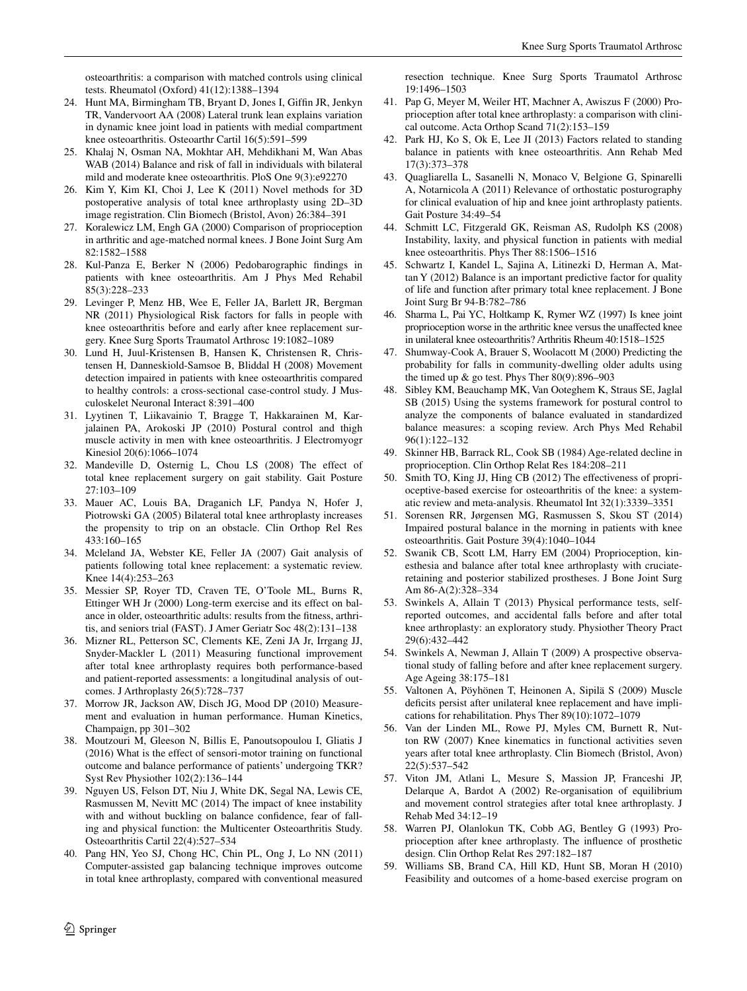osteoarthritis: a comparison with matched controls using clinical tests. Rheumatol (Oxford) 41(12):1388–1394

- <span id="page-11-17"></span>24. Hunt MA, Birmingham TB, Bryant D, Jones I, Giffin JR, Jenkyn TR, Vandervoort AA (2008) Lateral trunk lean explains variation in dynamic knee joint load in patients with medial compartment knee osteoarthritis. Osteoarthr Cartil 16(5):591–599
- <span id="page-11-4"></span>25. Khalaj N, Osman NA, Mokhtar AH, Mehdikhani M, Wan Abas WAB (2014) Balance and risk of fall in individuals with bilateral mild and moderate knee osteoarthritis. PloS One 9(3):e92270
- <span id="page-11-33"></span>26. Kim Y, Kim KI, Choi J, Lee K (2011) Novel methods for 3D postoperative analysis of total knee arthroplasty using 2D–3D image registration. Clin Biomech (Bristol, Avon) 26:384–391
- <span id="page-11-10"></span>27. Koralewicz LM, Engh GA (2000) Comparison of proprioception in arthritic and age-matched normal knees. J Bone Joint Surg Am 82:1582–1588
- <span id="page-11-12"></span>28. Kul-Panza E, Berker N (2006) Pedobarographic findings in patients with knee osteoarthritis. Am J Phys Med Rehabil 85(3):228–233
- <span id="page-11-22"></span>29. Levinger P, Menz HB, Wee E, Feller JA, Barlett JR, Bergman NR (2011) Physiological Risk factors for falls in people with knee osteoarthritis before and early after knee replacement surgery. Knee Surg Sports Traumatol Arthrosc 19:1082–1089
- <span id="page-11-11"></span>30. Lund H, Juul-Kristensen B, Hansen K, Christensen R, Christensen H, Danneskiold-Samsoe B, Bliddal H (2008) Movement detection impaired in patients with knee osteoarthritis compared to healthy controls: a cross-sectional case-control study. J Musculoskelet Neuronal Interact 8:391–400
- <span id="page-11-13"></span>31. Lyytinen T, Liikavainio T, Bragge T, Hakkarainen M, Karjalainen PA, Arokoski JP (2010) Postural control and thigh muscle activity in men with knee osteoarthritis. J Electromyogr Kinesiol 20(6):1066–1074
- <span id="page-11-25"></span>32. Mandeville D, Osternig L, Chou LS (2008) The effect of total knee replacement surgery on gait stability. Gait Posture 27:103–109
- <span id="page-11-29"></span>33. Mauer AC, Louis BA, Draganich LF, Pandya N, Hofer J, Piotrowski GA (2005) Bilateral total knee arthroplasty increases the propensity to trip on an obstacle. Clin Orthop Rel Res 433:160–165
- <span id="page-11-14"></span>34. Mcleland JA, Webster KE, Feller JA (2007) Gait analysis of patients following total knee replacement: a systematic review. Knee 14(4):253–263
- <span id="page-11-15"></span>35. Messier SP, Royer TD, Craven TE, O'Toole ML, Burns R, Ettinger WH Jr (2000) Long-term exercise and its effect on balance in older, osteoarthritic adults: results from the fitness, arthritis, and seniors trial (FAST). J Amer Geriatr Soc 48(2):131–138
- <span id="page-11-18"></span>36. Mizner RL, Petterson SC, Clements KE, Zeni JA Jr, Irrgang JJ, Snyder-Mackler L (2011) Measuring functional improvement after total knee arthroplasty requires both performance-based and patient-reported assessments: a longitudinal analysis of outcomes. J Arthroplasty 26(5):728–737
- <span id="page-11-1"></span>37. Morrow JR, Jackson AW, Disch JG, Mood DP (2010) Measurement and evaluation in human performance. Human Kinetics, Champaign, pp 301–302
- <span id="page-11-35"></span>38. Moutzouri M, Gleeson N, Billis E, Panoutsopoulou I, Gliatis J (2016) What is the effect of sensori-motor training on functional outcome and balance performance of patients' undergoing TKR? Syst Rev Physiother 102(2):136–144
- <span id="page-11-5"></span>39. Nguyen US, Felson DT, Niu J, White DK, Segal NA, Lewis CE, Rasmussen M, Nevitt MC (2014) The impact of knee instability with and without buckling on balance confidence, fear of falling and physical function: the Multicenter Osteoarthritis Study. Osteoarthritis Cartil 22(4):527–534
- <span id="page-11-34"></span>40. Pang HN, Yeo SJ, Chong HC, Chin PL, Ong J, Lo NN (2011) Computer-assisted gap balancing technique improves outcome in total knee arthroplasty, compared with conventional measured

resection technique. Knee Surg Sports Traumatol Arthrosc 19:1496–1503

- <span id="page-11-19"></span>41. Pap G, Meyer M, Weiler HT, Machner A, Awiszus F (2000) Proprioception after total knee arthroplasty: a comparison with clinical outcome. Acta Orthop Scand 71(2):153–159
- <span id="page-11-16"></span>42. Park HJ, Ko S, Ok E, Lee JI (2013) Factors related to standing balance in patients with knee osteoarthritis. Ann Rehab Med 17(3):373–378
- <span id="page-11-26"></span>43. Quagliarella L, Sasanelli N, Monaco V, Belgione G, Spinarelli A, Notarnicola A (2011) Relevance of orthostatic posturography for clinical evaluation of hip and knee joint arthroplasty patients. Gait Posture 34:49–54
- <span id="page-11-3"></span>44. Schmitt LC, Fitzgerald GK, Reisman AS, Rudolph KS (2008) Instability, laxity, and physical function in patients with medial knee osteoarthritis. Phys Ther 88:1506–1516
- <span id="page-11-28"></span>45. Schwartz I, Kandel L, Sajina A, Litinezki D, Herman A, Mattan Y (2012) Balance is an important predictive factor for quality of life and function after primary total knee replacement. J Bone Joint Surg Br 94-B:782–786
- <span id="page-11-9"></span>46. Sharma L, Pai YC, Holtkamp K, Rymer WZ (1997) Is knee joint proprioception worse in the arthritic knee versus the unaffected knee in unilateral knee osteoarthritis? Arthritis Rheum 40:1518–1525
- <span id="page-11-8"></span>47. Shumway-Cook A, Brauer S, Woolacott M (2000) Predicting the probability for falls in community-dwelling older adults using the timed up  $&$  go test. Phys Ther  $80(9):896-903$
- <span id="page-11-0"></span>48. Sibley KM, Beauchamp MK, Van Ooteghem K, Straus SE, Jaglal SB (2015) Using the systems framework for postural control to analyze the components of balance evaluated in standardized balance measures: a scoping review. Arch Phys Med Rehabil 96(1):122–132
- <span id="page-11-31"></span>49. Skinner HB, Barrack RL, Cook SB (1984) Age-related decline in proprioception. Clin Orthop Relat Res 184:208–211
- <span id="page-11-6"></span>50. Smith TO, King JJ, Hing CB (2012) The effectiveness of proprioceptive-based exercise for osteoarthritis of the knee: a systematic review and meta-analysis. Rheumatol Int 32(1):3339–3351
- <span id="page-11-7"></span>51. Sorensen RR, Jørgensen MG, Rasmussen S, Skou ST (2014) Impaired postural balance in the morning in patients with knee osteoarthritis. Gait Posture 39(4):1040–1044
- <span id="page-11-32"></span>52. Swanik CB, Scott LM, Harry EM (2004) Proprioception, kinesthesia and balance after total knee arthroplasty with cruciateretaining and posterior stabilized prostheses. J Bone Joint Surg Am 86-A(2):328–334
- <span id="page-11-23"></span>53. Swinkels A, Allain T (2013) Physical performance tests, selfreported outcomes, and accidental falls before and after total knee arthroplasty: an exploratory study. Physiother Theory Pract 29(6):432–442
- <span id="page-11-24"></span>54. Swinkels A, Newman J, Allain T (2009) A prospective observational study of falling before and after knee replacement surgery. Age Ageing 38:175–181
- <span id="page-11-20"></span>55. Valtonen A, Pöyhönen T, Heinonen A, Sipilä S (2009) Muscle deficits persist after unilateral knee replacement and have implications for rehabilitation. Phys Ther 89(10):1072–1079
- <span id="page-11-21"></span>56. Van der Linden ML, Rowe PJ, Myles CM, Burnett R, Nutton RW (2007) Knee kinematics in functional activities seven years after total knee arthroplasty. Clin Biomech (Bristol, Avon) 22(5):537–542
- <span id="page-11-27"></span>57. Viton JM, Atlani L, Mesure S, Massion JP, Franceshi JP, Delarque A, Bardot A (2002) Re-organisation of equilibrium and movement control strategies after total knee arthroplasty. J Rehab Med 34:12–19
- <span id="page-11-30"></span>58. Warren PJ, Olanlokun TK, Cobb AG, Bentley G (1993) Proprioception after knee arthroplasty. The influence of prosthetic design. Clin Orthop Relat Res 297:182–187
- <span id="page-11-2"></span>59. Williams SB, Brand CA, Hill KD, Hunt SB, Moran H (2010) Feasibility and outcomes of a home-based exercise program on